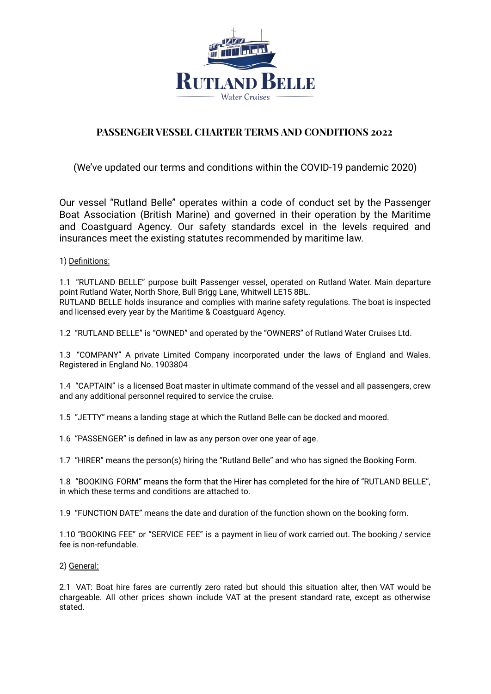

# **PASSENGER VESSEL CHARTER TERMS AND CONDITIONS 2022**

(We've updated our terms and conditions within the COVID-19 pandemic 2020)

Our vessel "Rutland Belle" operates within a code of conduct set by the Passenger Boat Association (British Marine) and governed in their operation by the Maritime and Coastguard Agency. Our safety standards excel in the levels required and insurances meet the existing statutes recommended by maritime law.

## 1) Definitions:

1.1 "RUTLAND BELLE" purpose built Passenger vessel, operated on Rutland Water. Main departure point Rutland Water, North Shore, Bull Brigg Lane, Whitwell LE15 8BL. RUTLAND BELLE holds insurance and complies with marine safety regulations. The boat is inspected and licensed every year by the Maritime & Coastguard Agency.

1.2 "RUTLAND BELLE" is "OWNED" and operated by the "OWNERS" of Rutland Water Cruises Ltd.

1.3 "COMPANY" A private Limited Company incorporated under the laws of England and Wales. Registered in England No. 1903804

1.4 "CAPTAIN" is a licensed Boat master in ultimate command of the vessel and all passengers, crew and any additional personnel required to service the cruise.

1.5 "JETTY" means a landing stage at which the Rutland Belle can be docked and moored.

1.6 "PASSENGER" is defined in law as any person over one year of age.

1.7 "HIRER" means the person(s) hiring the "Rutland Belle" and who has signed the Booking Form.

1.8 "BOOKING FORM" means the form that the Hirer has completed for the hire of "RUTLAND BELLE", in which these terms and conditions are attached to.

1.9 "FUNCTION DATE" means the date and duration of the function shown on the booking form.

1.10 "BOOKING FEE" or "SERVICE FEE" is a payment in lieu of work carried out. The booking / service fee is non-refundable.

2) General:

2.1 VAT: Boat hire fares are currently zero rated but should this situation alter, then VAT would be chargeable. All other prices shown include VAT at the present standard rate, except as otherwise stated.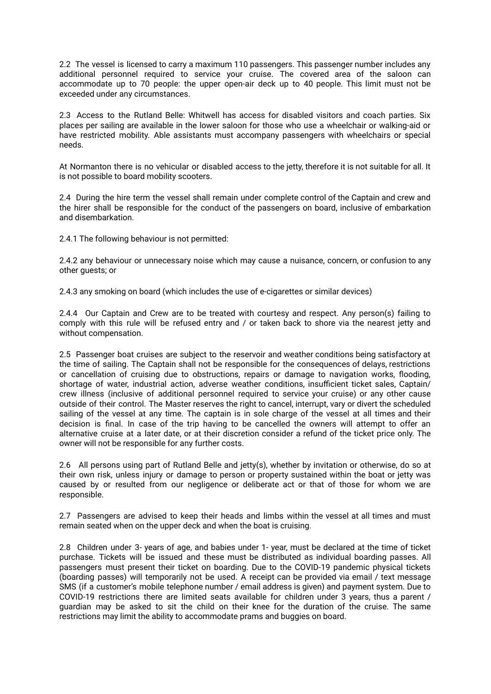2.2 The vessel is licensed to carry a maximum 110 passengers. This passenger number includes any additional personnel required to service your cruise. The covered area of the saloon can accommodate up to 70 people: the upper open-air deck up to 40 people. This limit must not be exceeded under any circumstances.

2.3 Access to the Rutland Belle: Whitwell has access for disabled visitors and coach parties. Six places per sailing are available in the lower saloon for those who use a wheelchair or walking-aid or have restricted mobility. Able assistants must accompany passengers with wheelchairs or special needs.

At Normanton there is no vehicular or disabled access to the jetty, therefore it is not suitable for all. It is not possible to board mobility scooters.

2.4 During the hire term the vessel shall remain under complete control of the Captain and crew and the hirer shall be responsible for the conduct of the passengers on board, inclusive of embarkation and disembarkation.

2.4.1 The following behaviour is not permitted:

2.4.2 any behaviour or unnecessary noise which may cause a nuisance, concern, or confusion to any other guests; or

2.4.3 any smoking on board (which includes the use of e-cigarettes or similar devices)

2.4.4 Our Captain and Crew are to be treated with courtesy and respect. Any person(s) failing to comply with this rule will be refused entry and / or taken back to shore via the nearest jetty and without compensation.

2.5 Passenger boat cruises are subject to the reservoir and weather conditions being satisfactory at the time of sailing. The Captain shall not be responsible for the consequences of delays, restrictions or cancellation of cruising due to obstructions, repairs or damage to navigation works, flooding, shortage of water, industrial action, adverse weather conditions, insufficient ticket sales, Captain/ crew illness (inclusive of additional personnel required to service your cruise) or any other cause outside of their control. The Master reserves the right to cancel, interrupt, vary or divert the scheduled sailing of the vessel at any time. The captain is in sole charge of the vessel at all times and their decision is final. In case of the trip having to be cancelled the owners will attempt to offer an alternative cruise at a later date, or at their discretion consider a refund of the ticket price only. The owner will not be responsible for any further costs.

2.6 All persons using part of Rutland Belle and jetty(s), whether by invitation or otherwise, do so at their own risk, unless injury or damage to person or property sustained within the boat or jetty was caused by or resulted from our negligence or deliberate act or that of those for whom we are responsible.

2.7 Passengers are advised to keep their heads and limbs within the vessel at all times and must remain seated when on the upper deck and when the boat is cruising.

2.8 Children under 3- years of age, and babies under 1- year, must be declared at the time of ticket purchase. Tickets will be issued and these must be distributed as individual boarding passes. All passengers must present their ticket on boarding. Due to the COVID-19 pandemic physical tickets (boarding passes) will temporarily not be used. A receipt can be provided via email / text message SMS (if a customer's mobile telephone number / email address is given) and payment system. Due to COVID-19 restrictions there are limited seats available for children under 3 years, thus a parent / guardian may be asked to sit the child on their knee for the duration of the cruise. The same restrictions may limit the ability to accommodate prams and buggies on board.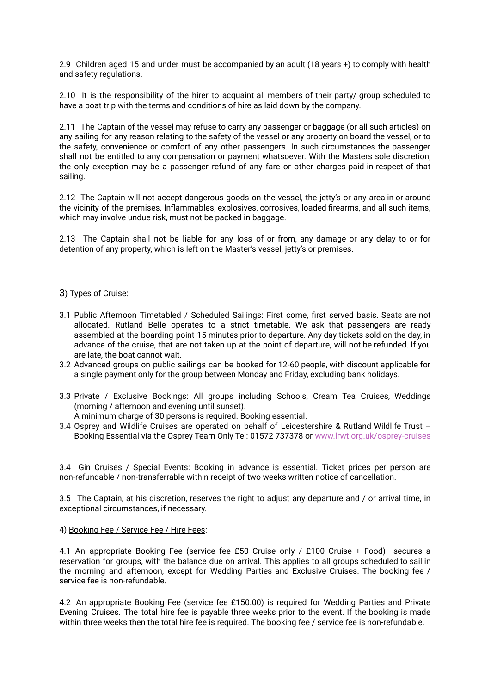2.9 Children aged 15 and under must be accompanied by an adult (18 years +) to comply with health and safety regulations.

2.10 It is the responsibility of the hirer to acquaint all members of their party/ group scheduled to have a boat trip with the terms and conditions of hire as laid down by the company.

2.11 The Captain of the vessel may refuse to carry any passenger or baggage (or all such articles) on any sailing for any reason relating to the safety of the vessel or any property on board the vessel, or to the safety, convenience or comfort of any other passengers. In such circumstances the passenger shall not be entitled to any compensation or payment whatsoever. With the Masters sole discretion, the only exception may be a passenger refund of any fare or other charges paid in respect of that sailing.

2.12 The Captain will not accept dangerous goods on the vessel, the jetty's or any area in or around the vicinity of the premises. Inflammables, explosives, corrosives, loaded firearms, and all such items, which may involve undue risk, must not be packed in baggage.

2.13 The Captain shall not be liable for any loss of or from, any damage or any delay to or for detention of any property, which is left on the Master's vessel, jetty's or premises.

#### 3) Types of Cruise:

- 3.1 Public Afternoon Timetabled / Scheduled Sailings: First come, first served basis. Seats are not allocated. Rutland Belle operates to a strict timetable. We ask that passengers are ready assembled at the boarding point 15 minutes prior to departure. Any day tickets sold on the day, in advance of the cruise, that are not taken up at the point of departure, will not be refunded. If you are late, the boat cannot wait.
- 3.2 Advanced groups on public sailings can be booked for 12-60 people, with discount applicable for a single payment only for the group between Monday and Friday, excluding bank holidays.
- 3.3 Private / Exclusive Bookings: All groups including Schools, Cream Tea Cruises, Weddings (morning / afternoon and evening until sunset).
	- A minimum charge of 30 persons is required. Booking essential.
- 3.4 Osprey and Wildlife Cruises are operated on behalf of Leicestershire & Rutland Wildlife Trust Booking Essential via the Osprey Team Only Tel: 01572 737378 or [www.lrwt.org.uk/osprey-cruises](http://www.lrwt.org.uk/osprey-cruises)

3.4 Gin Cruises / Special Events: Booking in advance is essential. Ticket prices per person are non-refundable / non-transferrable within receipt of two weeks written notice of cancellation.

3.5 The Captain, at his discretion, reserves the right to adjust any departure and / or arrival time, in exceptional circumstances, if necessary.

#### 4) Booking Fee / Service Fee / Hire Fees:

4.1 An appropriate Booking Fee (service fee £50 Cruise only / £100 Cruise + Food) secures a reservation for groups, with the balance due on arrival. This applies to all groups scheduled to sail in the morning and afternoon, except for Wedding Parties and Exclusive Cruises. The booking fee / service fee is non-refundable.

4.2 An appropriate Booking Fee (service fee £150.00) is required for Wedding Parties and Private Evening Cruises. The total hire fee is payable three weeks prior to the event. If the booking is made within three weeks then the total hire fee is required. The booking fee / service fee is non-refundable.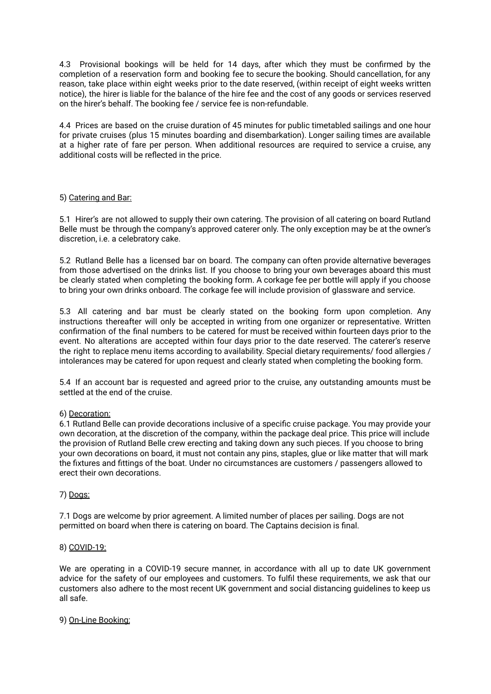4.3 Provisional bookings will be held for 14 days, after which they must be confirmed by the completion of a reservation form and booking fee to secure the booking. Should cancellation, for any reason, take place within eight weeks prior to the date reserved, (within receipt of eight weeks written notice), the hirer is liable for the balance of the hire fee and the cost of any goods or services reserved on the hirer's behalf. The booking fee / service fee is non-refundable.

4.4 Prices are based on the cruise duration of 45 minutes for public timetabled sailings and one hour for private cruises (plus 15 minutes boarding and disembarkation). Longer sailing times are available at a higher rate of fare per person. When additional resources are required to service a cruise, any additional costs will be reflected in the price.

## 5) Catering and Bar:

5.1 Hirer's are not allowed to supply their own catering. The provision of all catering on board Rutland Belle must be through the company's approved caterer only. The only exception may be at the owner's discretion, i.e. a celebratory cake.

5.2 Rutland Belle has a licensed bar on board. The company can often provide alternative beverages from those advertised on the drinks list. If you choose to bring your own beverages aboard this must be clearly stated when completing the booking form. A corkage fee per bottle will apply if you choose to bring your own drinks onboard. The corkage fee will include provision of glassware and service.

5.3 All catering and bar must be clearly stated on the booking form upon completion. Any instructions thereafter will only be accepted in writing from one organizer or representative. Written confirmation of the final numbers to be catered for must be received within fourteen days prior to the event. No alterations are accepted within four days prior to the date reserved. The caterer's reserve the right to replace menu items according to availability. Special dietary requirements/ food allergies / intolerances may be catered for upon request and clearly stated when completing the booking form.

5.4 If an account bar is requested and agreed prior to the cruise, any outstanding amounts must be settled at the end of the cruise.

## 6) Decoration:

6.1 Rutland Belle can provide decorations inclusive of a specific cruise package. You may provide your own decoration, at the discretion of the company, within the package deal price. This price will include the provision of Rutland Belle crew erecting and taking down any such pieces. If you choose to bring your own decorations on board, it must not contain any pins, staples, glue or like matter that will mark the fixtures and fittings of the boat. Under no circumstances are customers / passengers allowed to erect their own decorations.

## 7) Dogs:

7.1 Dogs are welcome by prior agreement. A limited number of places per sailing. Dogs are not permitted on board when there is catering on board. The Captains decision is final.

## 8) COVID-19:

We are operating in a COVID-19 secure manner, in accordance with all up to date UK government advice for the safety of our employees and customers. To fulfil these requirements, we ask that our customers also adhere to the most recent UK government and social distancing guidelines to keep us all safe.

## 9) On-Line Booking: